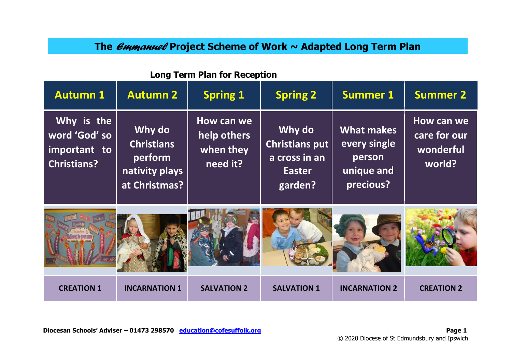# **The** *Emmanuel* **Project Scheme of Work ~ Adapted Long Term Plan**

| <b>Autumn 1</b>                                                   | <b>Autumn 2</b>                                                           | <b>Spring 1</b>                                    | <b>Spring 2</b>                                                              | <b>Summer 1</b>                                                        | <b>Summer 2</b>                                   |
|-------------------------------------------------------------------|---------------------------------------------------------------------------|----------------------------------------------------|------------------------------------------------------------------------------|------------------------------------------------------------------------|---------------------------------------------------|
| Why is the<br>word 'God' so<br>important to<br><b>Christians?</b> | Why do<br><b>Christians</b><br>perform<br>nativity plays<br>at Christmas? | How can we<br>help others<br>when they<br>need it? | Why do<br><b>Christians put</b><br>a cross in an<br><b>Easter</b><br>garden? | <b>What makes</b><br>every single<br>person<br>unique and<br>precious? | How can we<br>care for our<br>wonderful<br>world? |
|                                                                   |                                                                           |                                                    |                                                                              |                                                                        |                                                   |
| <b>CREATION 1</b>                                                 | <b>INCARNATION 1</b>                                                      | <b>SALVATION 2</b>                                 | <b>SALVATION 1</b>                                                           | <b>INCARNATION 2</b>                                                   | <b>CREATION 2</b>                                 |

#### **Long Term Plan for Reception**

**Diocesan Schools' Adviser – 01473 298570** education@cofesuffolk.org **Page 1** Page 1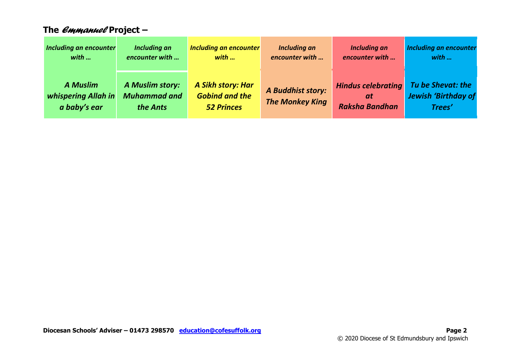| The <i>емманиев</i> Project —                          |                                                    |                                                                 |                                             |                                                          |                                                           |
|--------------------------------------------------------|----------------------------------------------------|-----------------------------------------------------------------|---------------------------------------------|----------------------------------------------------------|-----------------------------------------------------------|
| <b>Including an encounter</b><br>with                  | <b>Including an</b><br>encounter with              | <b>Including an encounter</b><br>with                           | <b>Including an</b><br>encounter with       | <b>Including an</b><br>encounter with                    | Including an encounter<br>with                            |
| <b>A Muslim</b><br>whispering Allah in<br>a baby's ear | A Muslim story:<br><b>Muhammad and</b><br>the Ants | A Sikh story: Har<br><b>Gobind and the</b><br><b>52 Princes</b> | A Buddhist story:<br><b>The Monkey King</b> | <b>Hindus celebrating</b><br>at<br><b>Raksha Bandhan</b> | Tu be Shevat: the<br><b>Jewish 'Birthday of</b><br>Trees' |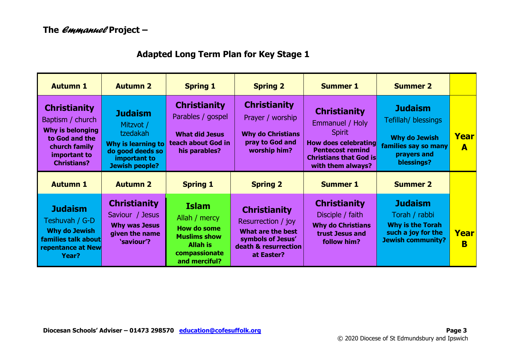## **Adapted Long Term Plan for Key Stage 1**

| <b>Autumn 1</b>                                                                                                                             | <b>Autumn 2</b>                                                                                                            | <b>Spring 1</b>                                                                                                                 | <b>Spring 2</b>                                                                                                           | <b>Summer 1</b>                                                                                                                                                         | <b>Summer 2</b>                                                                                                    |                  |
|---------------------------------------------------------------------------------------------------------------------------------------------|----------------------------------------------------------------------------------------------------------------------------|---------------------------------------------------------------------------------------------------------------------------------|---------------------------------------------------------------------------------------------------------------------------|-------------------------------------------------------------------------------------------------------------------------------------------------------------------------|--------------------------------------------------------------------------------------------------------------------|------------------|
| <b>Christianity</b><br>Baptism / church<br><b>Why is belonging</b><br>to God and the<br>church family<br>important to<br><b>Christians?</b> | <b>Judaism</b><br>Mitzvot /<br>tzedakah<br>Why is learning to<br>do good deeds so<br>important to<br><b>Jewish people?</b> | <b>Christianity</b><br>Parables / gospel<br><b>What did Jesus</b><br>teach about God in<br>his parables?                        | <b>Christianity</b><br>Prayer / worship<br><b>Why do Christians</b><br>pray to God and<br>worship him?                    | <b>Christianity</b><br>Emmanuel / Holy<br><b>Spirit</b><br><b>How does celebrating</b><br><b>Pentecost remind</b><br><b>Christians that God is</b><br>with them always? | <b>Judaism</b><br>Tefillah/ blessings<br><b>Why do Jewish</b><br>families say so many<br>prayers and<br>blessings? | Year<br>A        |
| <b>Autumn 1</b>                                                                                                                             | <b>Autumn 2</b>                                                                                                            | <b>Spring 1</b>                                                                                                                 | <b>Spring 2</b>                                                                                                           | <b>Summer 1</b>                                                                                                                                                         | <b>Summer 2</b>                                                                                                    |                  |
| <b>Judaism</b><br>Teshuvah / G-D<br><b>Why do Jewish</b><br>families talk about<br>repentance at New<br>Year?                               | <b>Christianity</b><br>Saviour / Jesus<br><b>Why was Jesus</b><br>given the name<br>'saviour'?                             | <b>Islam</b><br>Allah / mercy<br><b>How do some</b><br><b>Muslims show</b><br><b>Allah is</b><br>compassionate<br>and merciful? | <b>Christianity</b><br>Resurrection / joy<br>What are the best<br>symbols of Jesus'<br>death & resurrection<br>at Easter? | <b>Christianity</b><br>Disciple / faith<br><b>Why do Christians</b><br>trust Jesus and<br>follow him?                                                                   | <b>Judaism</b><br>Torah / rabbi<br><b>Why is the Torah</b><br>such a joy for the<br><b>Jewish community?</b>       | <b>Year</b><br>B |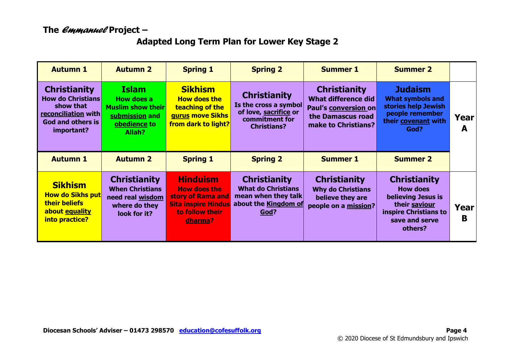#### **The** *Emmanuel* **Project –**

#### **Adapted Long Term Plan for Lower Key Stage 2**

| <b>Autumn 1</b>                                                                                                                      | <b>Autumn 2</b>                                                                                           | <b>Spring 1</b>                                                                                     | <b>Spring 2</b>                                                                                               | <b>Summer 1</b>                                                                                                | <b>Summer 2</b>                                                                                                    |           |
|--------------------------------------------------------------------------------------------------------------------------------------|-----------------------------------------------------------------------------------------------------------|-----------------------------------------------------------------------------------------------------|---------------------------------------------------------------------------------------------------------------|----------------------------------------------------------------------------------------------------------------|--------------------------------------------------------------------------------------------------------------------|-----------|
| <b>Christianity</b><br><b>How do Christians</b><br>show that<br><b>reconciliation with</b><br><b>God and others is</b><br>important? | <b>Islam</b><br><b>How does a</b><br><b>Muslim show their</b><br>submission and<br>obedience to<br>Allah? | <b>Sikhism</b><br><b>How does the</b><br>teaching of the<br>gurus move Sikhs<br>from dark to light? | <b>Christianity</b><br>Is the cross a symbol<br>of love, sacrifice or<br>commitment for<br><b>Christians?</b> | <b>Christianity</b><br>What difference did<br>Paul's conversion on<br>the Damascus road<br>make to Christians? | <b>Judaism</b><br><b>What symbols and</b><br>stories help Jewish<br>people remember<br>their covenant with<br>God? | Year<br>A |
| <b>Autumn 1</b>                                                                                                                      | <b>Autumn 2</b>                                                                                           | <b>Spring 1</b>                                                                                     | <b>Spring 2</b>                                                                                               | <b>Summer 1</b>                                                                                                | <b>Summer 2</b>                                                                                                    |           |
|                                                                                                                                      |                                                                                                           |                                                                                                     |                                                                                                               |                                                                                                                |                                                                                                                    |           |